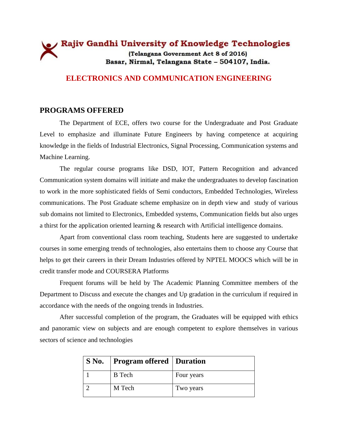# Rajiv Gandhi University of Knowledge Technologies (Telangana Government Act 8 of 2016) Basar, Nirmal, Telangana State - 504107, India.

#### **ELECTRONICS AND COMMUNICATION ENGINEERING**

#### **PROGRAMS OFFERED**

The Department of ECE, offers two course for the Undergraduate and Post Graduate Level to emphasize and illuminate Future Engineers by having competence at acquiring knowledge in the fields of Industrial Electronics, Signal Processing, Communication systems and Machine Learning.

The regular course programs like DSD, IOT, Pattern Recognition and advanced Communication system domains will initiate and make the undergraduates to develop fascination to work in the more sophisticated fields of Semi conductors, Embedded Technologies, Wireless communications. The Post Graduate scheme emphasize on in depth view and study of various sub domains not limited to Electronics, Embedded systems, Communication fields but also urges a thirst for the application oriented learning & research with Artificial intelligence domains.

Apart from conventional class room teaching, Students here are suggested to undertake courses in some emerging trends of technologies, also entertains them to choose any Course that helps to get their careers in their Dream Industries offered by NPTEL MOOCS which will be in credit transfer mode and COURSERA Platforms

Frequent forums will be held by The Academic Planning Committee members of the Department to Discuss and execute the changes and Up gradation in the curriculum if required in accordance with the needs of the ongoing trends in Industries.

After successful completion of the program, the Graduates will be equipped with ethics and panoramic view on subjects and are enough competent to explore themselves in various sectors of science and technologies

| S No.   Program offered   Duration |            |
|------------------------------------|------------|
| <b>B</b> Tech                      | Four years |
| M Tech                             | Two years  |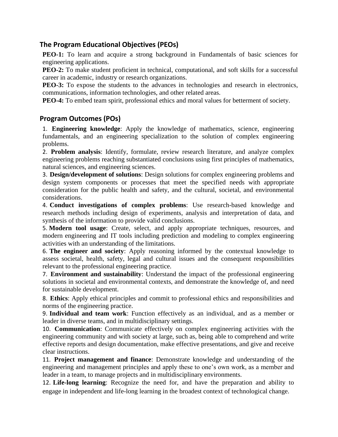# **The Program Educational Objectives (PEOs)**

**PEO-1:** To learn and acquire a strong background in Fundamentals of basic sciences for engineering applications.

**PEO-2:** To make student proficient in technical, computational, and soft skills for a successful career in academic, industry or research organizations.

**PEO-3:** To expose the students to the advances in technologies and research in electronics, communications, information technologies, and other related areas.

**PEO-4:** To embed team spirit, professional ethics and moral values for betterment of society.

### **Program Outcomes (POs)**

1. **Engineering knowledge**: Apply the knowledge of mathematics, science, engineering fundamentals, and an engineering specialization to the solution of complex engineering problems.

2. **Problem analysis**: Identify, formulate, review research literature, and analyze complex engineering problems reaching substantiated conclusions using first principles of mathematics, natural sciences, and engineering sciences.

3. **Design/development of solutions**: Design solutions for complex engineering problems and design system components or processes that meet the specified needs with appropriate consideration for the public health and safety, and the cultural, societal, and environmental considerations.

4. **Conduct investigations of complex problems**: Use research-based knowledge and research methods including design of experiments, analysis and interpretation of data, and synthesis of the information to provide valid conclusions.

5. **Modern tool usage**: Create, select, and apply appropriate techniques, resources, and modern engineering and IT tools including prediction and modeling to complex engineering activities with an understanding of the limitations.

6. **The engineer and society**: Apply reasoning informed by the contextual knowledge to assess societal, health, safety, legal and cultural issues and the consequent responsibilities relevant to the professional engineering practice.

7. **Environment and sustainability**: Understand the impact of the professional engineering solutions in societal and environmental contexts, and demonstrate the knowledge of, and need for sustainable development.

8. **Ethics**: Apply ethical principles and commit to professional ethics and responsibilities and norms of the engineering practice.

9. **Individual and team work**: Function effectively as an individual, and as a member or leader in diverse teams, and in multidisciplinary settings.

10. **Communication**: Communicate effectively on complex engineering activities with the engineering community and with society at large, such as, being able to comprehend and write effective reports and design documentation, make effective presentations, and give and receive clear instructions.

11. **Project management and finance**: Demonstrate knowledge and understanding of the engineering and management principles and apply these to one's own work, as a member and leader in a team, to manage projects and in multidisciplinary environments.

12. **Life-long learning**: Recognize the need for, and have the preparation and ability to engage in independent and life-long learning in the broadest context of technological change.